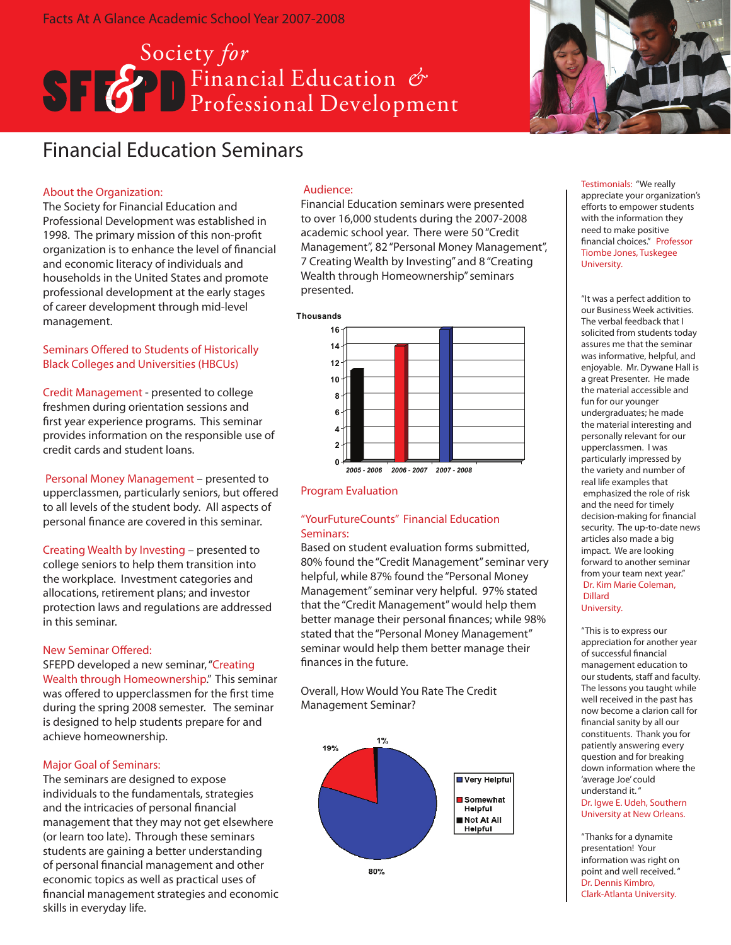# Society *for*  **Ref** Financial Education Professional Development



## Financial Education Seminars

## About the Organization:

The Society for Financial Education and Professional Development was established in 1998. The primary mission of this non-profit organization is to enhance the level of financial and economic literacy of individuals and households in the United States and promote professional development at the early stages of career development through mid-level management.

## Seminars Offered to Students of Historically Black Colleges and Universities (HBCUs)

Credit Management - presented to college freshmen during orientation sessions and first year experience programs. This seminar provides information on the responsible use of credit cards and student loans.

Personal Money Management – presented to upperclassmen, particularly seniors, but offered to all levels of the student body. All aspects of personal finance are covered in this seminar.

Creating Wealth by Investing – presented to college seniors to help them transition into the workplace. Investment categories and allocations, retirement plans; and investor protection laws and regulations are addressed in this seminar.

## New Seminar Offered:

SFEPD developed a new seminar, "Creating Wealth through Homeownership." This seminar was offered to upperclassmen for the first time during the spring 2008 semester. The seminar is designed to help students prepare for and achieve homeownership.

## Major Goal of Seminars:

The seminars are designed to expose individuals to the fundamentals, strategies and the intricacies of personal financial management that they may not get elsewhere (or learn too late). Through these seminars students are gaining a better understanding of personal financial management and other economic topics as well as practical uses of financial management strategies and economic skills in everyday life.

## Audience:

Financial Education seminars were presented to over 16,000 students during the 2007-2008 academic school year. There were 50 "Credit Management", 82 "Personal Money Management", 7 Creating Wealth by Investing" and 8 "Creating Wealth through Homeownership" seminars presented.



## Program Evaluation

## "YourFutureCounts" Financial Education Seminars:

Based on student evaluation forms submitted, 80% found the "Credit Management" seminar very helpful, while 87% found the "Personal Money Management" seminar very helpful. 97% stated that the "Credit Management" would help them better manage their personal finances; while 98% stated that the "Personal Money Management" seminar would help them better manage their finances in the future.

Overall, How Would You Rate The Credit Management Seminar?



Testimonials: "We really appreciate your organization's efforts to empower students with the information they need to make positive financial choices." Professor Tiombe Jones, Tuskegee University.

"It was a perfect addition to our Business Week activities. The verbal feedback that I solicited from students today assures me that the seminar was informative, helpful, and enjoyable. Mr. Dywane Hall is a great Presenter. He made the material accessible and fun for our younger undergraduates; he made the material interesting and personally relevant for our upperclassmen. I was particularly impressed by the variety and number of real life examples that emphasized the role of risk and the need for timely decision-making for financial security. The up-to-date news articles also made a big impact. We are looking forward to another seminar from your team next year." Dr. Kim Marie Coleman, Dillard

#### University.

"This is to express our appreciation for another year of successful financial management education to our students, staff and faculty. The lessons you taught while well received in the past has now become a clarion call for financial sanity by all our constituents. Thank you for patiently answering every question and for breaking down information where the 'average Joe' could understand it. "

Dr. Igwe E. Udeh, Southern University at New Orleans.

"Thanks for a dynamite presentation! Your information was right on point and well received. " Dr. Dennis Kimbro, Clark-Atlanta University.